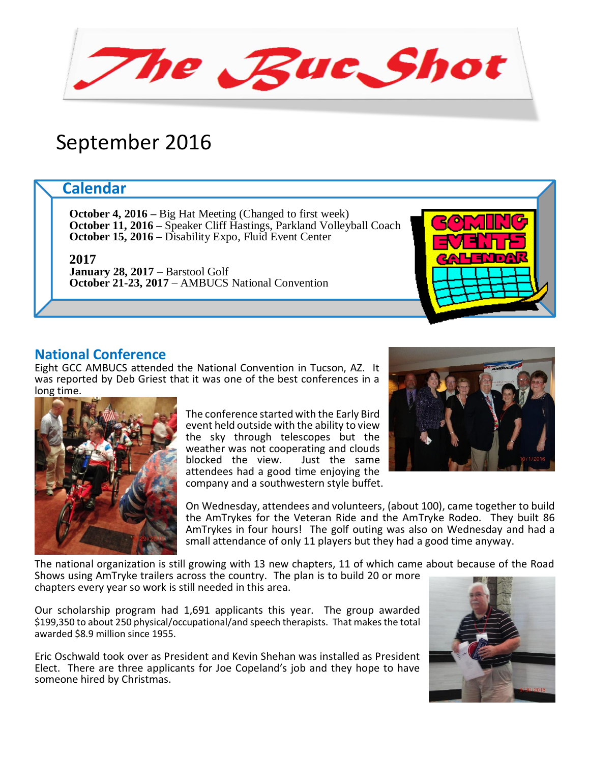The Buc Shot

# September 2016

# **Calendar**

**October 4, 2016 –** Big Hat Meeting (Changed to first week) **October 11, 2016 –** Speaker Cliff Hastings, Parkland Volleyball Coach **October 15, 2016 –** Disability Expo, Fluid Event Center

**2017**

**January 28, 2017** – Barstool Golf **October 21-23, 2017** – AMBUCS National Convention

#### **National Conference**

Eight GCC AMBUCS attended the National Convention in Tucson, AZ. It was reported by Deb Griest that it was one of the best conferences in a long time.



The conference started with the Early Bird event held outside with the ability to view the sky through telescopes but the weather was not cooperating and clouds<br>blocked the view. Just the same blocked the view. attendees had a good time enjoying the company and a southwestern style buffet.



On Wednesday, attendees and volunteers, (about 100), came together to build the AmTrykes for the Veteran Ride and the AmTryke Rodeo. They built 86 AmTrykes in four hours! The golf outing was also on Wednesday and had a small attendance of only 11 players but they had a good time anyway.

The national organization is still growing with 13 new chapters, 11 of which came about because of the Road

Shows using AmTryke trailers across the country. The plan is to build 20 or more chapters every year so work is still needed in this area.

Our scholarship program had 1,691 applicants this year. The group awarded \$199,350 to about 250 physical/occupational/and speech therapists. That makes the total awarded \$8.9 million since 1955.

Eric Oschwald took over as President and Kevin Shehan was installed as President Elect. There are three applicants for Joe Copeland's job and they hope to have someone hired by Christmas.

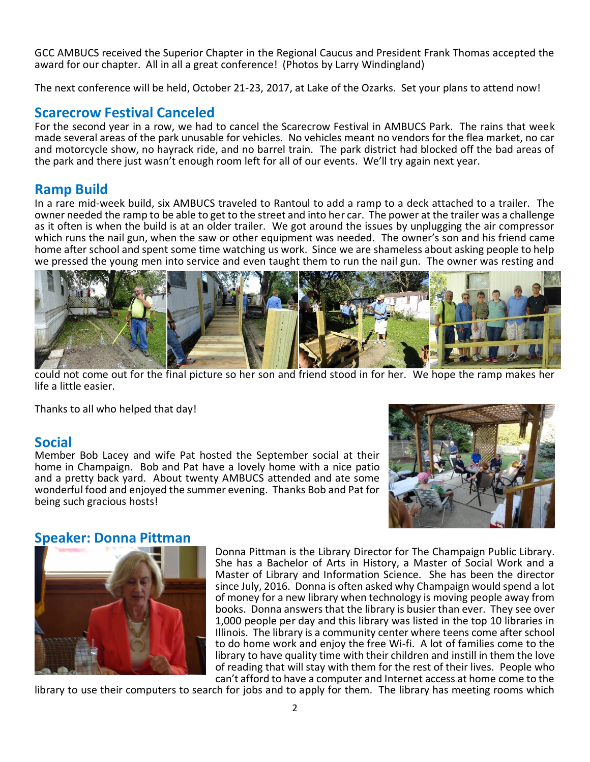GCC AMBUCS received the Superior Chapter in the Regional Caucus and President Frank Thomas accepted the award for our chapter. All in all a great conference! (Photos by Larry Windingland)

The next conference will be held, October 21-23, 2017, at Lake of the Ozarks. Set your plans to attend now!

#### **Scarecrow Festival Canceled**

For the second year in a row, we had to cancel the Scarecrow Festival in AMBUCS Park. The rains that week made several areas of the park unusable for vehicles. No vehicles meant no vendors for the flea market, no car and motorcycle show, no hayrack ride, and no barrel train. The park district had blocked off the bad areas of the park and there just wasn't enough room left for all of our events. We'll try again next year.

# **Ramp Build**

In a rare mid-week build, six AMBUCS traveled to Rantoul to add a ramp to a deck attached to a trailer. The owner needed the ramp to be able to get to the street and into her car. The power at the trailer was a challenge as it often is when the build is at an older trailer. We got around the issues by unplugging the air compressor which runs the nail gun, when the saw or other equipment was needed. The owner's son and his friend came home after school and spent some time watching us work. Since we are shameless about asking people to help we pressed the young men into service and even taught them to run the nail gun. The owner was resting and



could not come out for the final picture so her son and friend stood in for her. We hope the ramp makes her life a little easier.

Thanks to all who helped that day!

# **Social**

Member Bob Lacey and wife Pat hosted the September social at their home in Champaign. Bob and Pat have a lovely home with a nice patio and a pretty back yard. About twenty AMBUCS attended and ate some wonderful food and enjoyed the summer evening. Thanks Bob and Pat for being such gracious hosts!



# **Speaker: Donna Pittman**



Donna Pittman is the Library Director for The Champaign Public Library. She has a Bachelor of Arts in History, a Master of Social Work and a Master of Library and Information Science. She has been the director since July, 2016. Donna is often asked why Champaign would spend a lot of money for a new library when technology is moving people away from books. Donna answers that the library is busier than ever. They see over 1,000 people per day and this library was listed in the top 10 libraries in Illinois. The library is a community center where teens come after school to do home work and enjoy the free Wi-fi. A lot of families come to the library to have quality time with their children and instill in them the love of reading that will stay with them for the rest of their lives. People who can't afford to have a computer and Internet access at home come to the

library to use their computers to search for jobs and to apply for them. The library has meeting rooms which